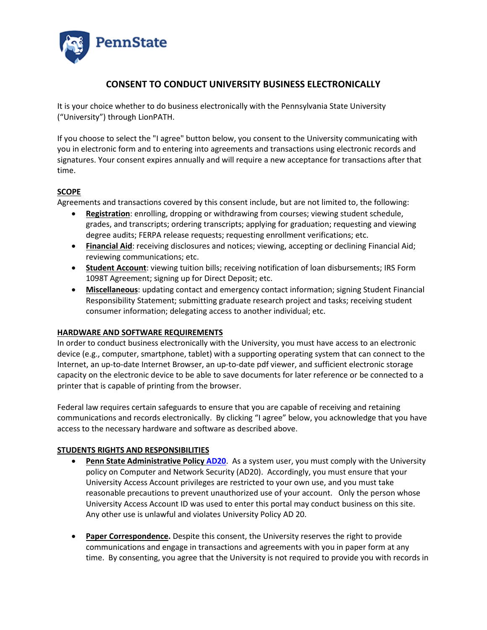

## **CONSENT TO CONDUCT UNIVERSITY BUSINESS ELECTRONICALLY**

It is your choice whether to do business electronically with the Pennsylvania State University ("University") through LionPATH.

If you choose to select the "I agree" button below, you consent to the University communicating with you in electronic form and to entering into agreements and transactions using electronic records and signatures. Your consent expires annually and will require a new acceptance for transactions after that time.

## **SCOPE**

Agreements and transactions covered by this consent include, but are not limited to, the following:

- **Registration**: enrolling, dropping or withdrawing from courses; viewing student schedule, grades, and transcripts; ordering transcripts; applying for graduation; requesting and viewing degree audits; FERPA release requests; requesting enrollment verifications; etc.
- **Financial Aid**: receiving disclosures and notices; viewing, accepting or declining Financial Aid; reviewing communications; etc.
- **Student Account**: viewing tuition bills; receiving notification of loan disbursements; IRS Form 1098T Agreement; signing up for Direct Deposit; etc.
- **Miscellaneous**: updating contact and emergency contact information; signing Student Financial Responsibility Statement; submitting graduate research project and tasks; receiving student consumer information; delegating access to another individual; etc.

## **HARDWARE AND SOFTWARE REQUIREMENTS**

In order to conduct business electronically with the University, you must have access to an electronic device (e.g., computer, smartphone, tablet) with a supporting operating system that can connect to the Internet, an up-to-date Internet Browser, an up-to-date pdf viewer, and sufficient electronic storage capacity on the electronic device to be able to save documents for later reference or be connected to a printer that is capable of printing from the browser.

Federal law requires certain safeguards to ensure that you are capable of receiving and retaining communications and records electronically. By clicking "I agree" below, you acknowledge that you have access to the necessary hardware and software as described above.

## **STUDENTS RIGHTS AND RESPONSIBILITIES**

- **Penn State Administrative Polic[y AD20](http://guru.psu.edu/policies/AD20.html).** As a system user, you must comply with the University policy on Computer and Network Security (AD20). Accordingly, you must ensure that your University Access Account privileges are restricted to your own use, and you must take reasonable precautions to prevent unauthorized use of your account. Only the person whose University Access Account ID was used to enter this portal may conduct business on this site. Any other use is unlawful and violates University Policy AD 20.
- **Paper Correspondence.** Despite this consent, the University reserves the right to provide communications and engage in transactions and agreements with you in paper form at any time. By consenting, you agree that the University is not required to provide you with records in